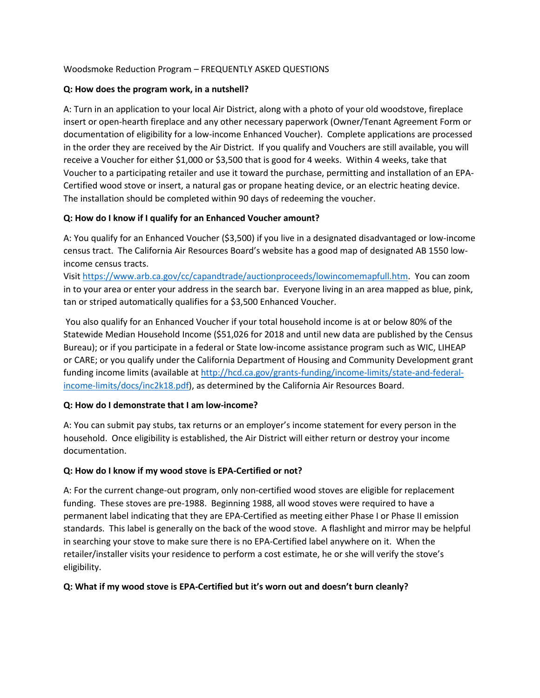#### Woodsmoke Reduction Program – FREQUENTLY ASKED QUESTIONS

## **Q: How does the program work, in a nutshell?**

A: Turn in an application to your local Air District, along with a photo of your old woodstove, fireplace insert or open-hearth fireplace and any other necessary paperwork (Owner/Tenant Agreement Form or documentation of eligibility for a low-income Enhanced Voucher). Complete applications are processed in the order they are received by the Air District. If you qualify and Vouchers are still available, you will receive a Voucher for either \$1,000 or \$3,500 that is good for 4 weeks. Within 4 weeks, take that Voucher to a participating retailer and use it toward the purchase, permitting and installation of an EPA-Certified wood stove or insert, a natural gas or propane heating device, or an electric heating device. The installation should be completed within 90 days of redeeming the voucher.

## **Q: How do I know if I qualify for an Enhanced Voucher amount?**

A: You qualify for an Enhanced Voucher (\$3,500) if you live in a designated disadvantaged or low-income census tract. The California Air Resources Board's website has a good map of designated AB 1550 lowincome census tracts.

Visit [https://www.arb.ca.gov/cc/capandtrade/auctionproceeds/lowincomemapfull.htm.](https://www.arb.ca.gov/cc/capandtrade/auctionproceeds/lowincomemapfull.htm) You can zoom in to your area or enter your address in the search bar. Everyone living in an area mapped as blue, pink, tan or striped automatically qualifies for a \$3,500 Enhanced Voucher.

You also qualify for an Enhanced Voucher if your total household income is at or below 80% of the Statewide Median Household Income (\$51,026 for 2018 and until new data are published by the Census Bureau); or if you participate in a federal or State low-income assistance program such as WIC, LIHEAP or CARE; or you qualify under the California Department of Housing and Community Development grant funding income limits (available at [http://hcd.ca.gov/grants-funding/income-limits/state-and-federal](http://hcd.ca.gov/grants-funding/income-limits/state-and-federal-income-limits/docs/inc2k18.pdf)[income-limits/docs/inc2k18.pdf\)](http://hcd.ca.gov/grants-funding/income-limits/state-and-federal-income-limits/docs/inc2k18.pdf), as determined by the California Air Resources Board.

# **Q: How do I demonstrate that I am low-income?**

A: You can submit pay stubs, tax returns or an employer's income statement for every person in the household. Once eligibility is established, the Air District will either return or destroy your income documentation.

# **Q: How do I know if my wood stove is EPA-Certified or not?**

A: For the current change-out program, only non-certified wood stoves are eligible for replacement funding. These stoves are pre-1988. Beginning 1988, all wood stoves were required to have a permanent label indicating that they are EPA-Certified as meeting either Phase I or Phase II emission standards. This label is generally on the back of the wood stove. A flashlight and mirror may be helpful in searching your stove to make sure there is no EPA-Certified label anywhere on it. When the retailer/installer visits your residence to perform a cost estimate, he or she will verify the stove's eligibility.

# **Q: What if my wood stove is EPA-Certified but it's worn out and doesn't burn cleanly?**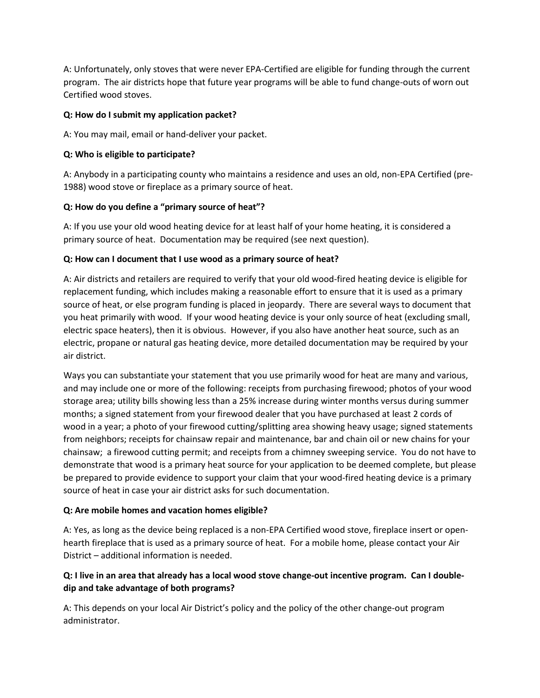A: Unfortunately, only stoves that were never EPA-Certified are eligible for funding through the current program. The air districts hope that future year programs will be able to fund change-outs of worn out Certified wood stoves.

## **Q: How do I submit my application packet?**

A: You may mail, email or hand-deliver your packet.

## **Q: Who is eligible to participate?**

A: Anybody in a participating county who maintains a residence and uses an old, non-EPA Certified (pre-1988) wood stove or fireplace as a primary source of heat.

## **Q: How do you define a "primary source of heat"?**

A: If you use your old wood heating device for at least half of your home heating, it is considered a primary source of heat. Documentation may be required (see next question).

## **Q: How can I document that I use wood as a primary source of heat?**

A: Air districts and retailers are required to verify that your old wood-fired heating device is eligible for replacement funding, which includes making a reasonable effort to ensure that it is used as a primary source of heat, or else program funding is placed in jeopardy. There are several ways to document that you heat primarily with wood. If your wood heating device is your only source of heat (excluding small, electric space heaters), then it is obvious. However, if you also have another heat source, such as an electric, propane or natural gas heating device, more detailed documentation may be required by your air district.

Ways you can substantiate your statement that you use primarily wood for heat are many and various, and may include one or more of the following: receipts from purchasing firewood; photos of your wood storage area; utility bills showing less than a 25% increase during winter months versus during summer months; a signed statement from your firewood dealer that you have purchased at least 2 cords of wood in a year; a photo of your firewood cutting/splitting area showing heavy usage; signed statements from neighbors; receipts for chainsaw repair and maintenance, bar and chain oil or new chains for your chainsaw; a firewood cutting permit; and receipts from a chimney sweeping service. You do not have to demonstrate that wood is a primary heat source for your application to be deemed complete, but please be prepared to provide evidence to support your claim that your wood-fired heating device is a primary source of heat in case your air district asks for such documentation.

#### **Q: Are mobile homes and vacation homes eligible?**

A: Yes, as long as the device being replaced is a non-EPA Certified wood stove, fireplace insert or openhearth fireplace that is used as a primary source of heat. For a mobile home, please contact your Air District – additional information is needed.

# **Q: I live in an area that already has a local wood stove change-out incentive program. Can I doubledip and take advantage of both programs?**

A: This depends on your local Air District's policy and the policy of the other change-out program administrator.